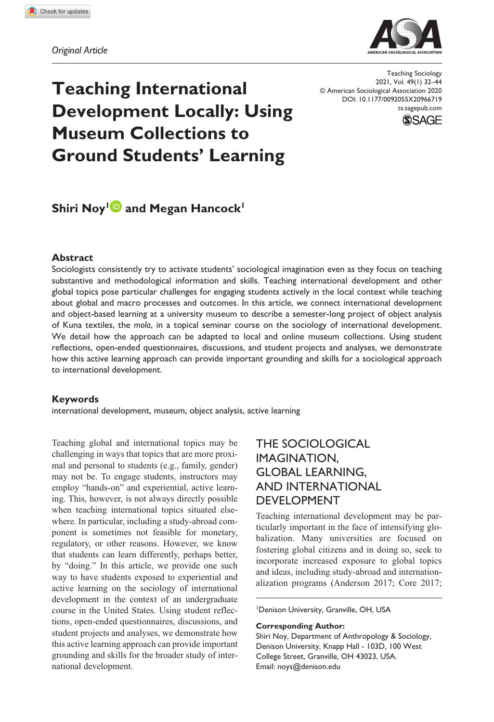**966[719](http://crossmark.crossref.org/dialog/?doi=10.1177%2F0092055X20966719&domain=pdf&date_stamp=2020-11-26)** TSOXXX10.1177/0092055X20966719Teaching Sociology**Noy and Hancock**

*Original Article*



DOI: 10.1177/0092055X20966719 Teaching Sociology 2021, Vol. 49(1) 32–44 © American Sociological Association 2020 [ts.sagepub.com](https://ts.sagepub.com)



# **Teaching International Development Locally: Using Museum Collections to Ground Students' Learning**

# **Shiri Noy<sup>1</sup> and Megan Hancock<sup>1</sup>**

#### **Abstract**

Sociologists consistently try to activate students' sociological imagination even as they focus on teaching substantive and methodological information and skills. Teaching international development and other global topics pose particular challenges for engaging students actively in the local context while teaching about global and macro processes and outcomes. In this article, we connect international development and object-based learning at a university museum to describe a semester-long project of object analysis of Kuna textiles, the *mola*, in a topical seminar course on the sociology of international development. We detail how the approach can be adapted to local and online museum collections. Using student reflections, open-ended questionnaires, discussions, and student projects and analyses, we demonstrate how this active learning approach can provide important grounding and skills for a sociological approach to international development.

#### **Keywords**

international development, museum, object analysis, active learning

Teaching global and international topics may be challenging in ways that topics that are more proximal and personal to students (e.g., family, gender) may not be. To engage students, instructors may employ "hands-on" and experiential, active learning. This, however, is not always directly possible when teaching international topics situated elsewhere. In particular, including a study-abroad component is sometimes not feasible for monetary, regulatory, or other reasons. However, we know that students can learn differently, perhaps better, by "doing." In this article, we provide one such way to have students exposed to experiential and active learning on the sociology of international development in the context of an undergraduate course in the United States. Using student reflections, open-ended questionnaires, discussions, and student projects and analyses, we demonstrate how this active learning approach can provide important grounding and skills for the broader study of international development.

## The Sociological Imagination, Global Learning, and International **DEVELOPMENT**

Teaching international development may be particularly important in the face of intensifying globalization. Many universities are focused on fostering global citizens and in doing so, seek to incorporate increased exposure to global topics and ideas, including study-abroad and internationalization programs (Anderson 2017; Core 2017;

1 Denison University, Granville, OH, USA

#### **Corresponding Author:**

Shiri Noy, Department of Anthropology & Sociology, Denison University, Knapp Hall - 103D, 100 West College Street, Granville, OH 43023, USA. Email: [noys@denison.edu](mailto:noys@denison.edu)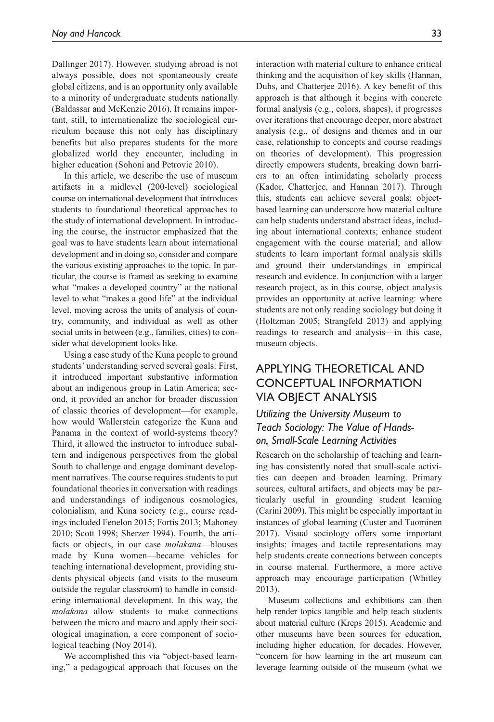Dallinger 2017). However, studying abroad is not always possible, does not spontaneously create global citizens, and is an opportunity only available to a minority of undergraduate students nationally (Baldassar and McKenzie 2016). It remains important, still, to internationalize the sociological curriculum because this not only has disciplinary benefits but also prepares students for the more globalized world they encounter, including in higher education (Sohoni and Petrovic 2010).

In this article, we describe the use of museum artifacts in a midlevel (200-level) sociological course on international development that introduces students to foundational theoretical approaches to the study of international development. In introducing the course, the instructor emphasized that the goal was to have students learn about international development and in doing so, consider and compare the various existing approaches to the topic. In particular, the course is framed as seeking to examine what "makes a developed country" at the national level to what "makes a good life" at the individual level, moving across the units of analysis of country, community, and individual as well as other social units in between (e.g., families, cities) to consider what development looks like.

Using a case study of the Kuna people to ground students' understanding served several goals: First, it introduced important substantive information about an indigenous group in Latin America; second, it provided an anchor for broader discussion of classic theories of development—for example, how would Wallerstein categorize the Kuna and Panama in the context of world-systems theory? Third, it allowed the instructor to introduce subaltern and indigenous perspectives from the global South to challenge and engage dominant development narratives. The course requires students to put foundational theories in conversation with readings and understandings of indigenous cosmologies, colonialism, and Kuna society (e.g., course readings included Fenelon 2015; Fortis 2013; Mahoney 2010; Scott 1998; Sherzer 1994). Fourth, the artifacts or objects, in our case *molakana*—blouses made by Kuna women—became vehicles for teaching international development, providing students physical objects (and visits to the museum outside the regular classroom) to handle in considering international development. In this way, the *molakana* allow students to make connections between the micro and macro and apply their sociological imagination, a core component of sociological teaching (Noy 2014).

We accomplished this via "object-based learning," a pedagogical approach that focuses on the interaction with material culture to enhance critical thinking and the acquisition of key skills (Hannan, Duhs, and Chatterjee 2016). A key benefit of this approach is that although it begins with concrete formal analysis (e.g., colors, shapes), it progresses over iterations that encourage deeper, more abstract analysis (e.g., of designs and themes and in our case, relationship to concepts and course readings on theories of development). This progression directly empowers students, breaking down barriers to an often intimidating scholarly process (Kador, Chatterjee, and Hannan 2017). Through this, students can achieve several goals: objectbased learning can underscore how material culture can help students understand abstract ideas, including about international contexts; enhance student engagement with the course material; and allow students to learn important formal analysis skills and ground their understandings in empirical research and evidence. In conjunction with a larger research project, as in this course, object analysis provides an opportunity at active learning: where students are not only reading sociology but doing it (Holtzman 2005; Strangfeld 2013) and applying readings to research and analysis—in this case, museum objects.

## Applying Theoretical and Conceptual Information Via Object Analysis

### *Utilizing the University Museum to Teach Sociology: The Value of Handson, Small-Scale Learning Activities*

Research on the scholarship of teaching and learning has consistently noted that small-scale activities can deepen and broaden learning. Primary sources, cultural artifacts, and objects may be particularly useful in grounding student learning (Carini 2009). This might be especially important in instances of global learning (Custer and Tuominen 2017). Visual sociology offers some important insights: images and tactile representations may help students create connections between concepts in course material. Furthermore, a more active approach may encourage participation (Whitley 2013).

Museum collections and exhibitions can then help render topics tangible and help teach students about material culture (Kreps 2015). Academic and other museums have been sources for education, including higher education, for decades. However, "concern for how learning in the art museum can leverage learning outside of the museum (what we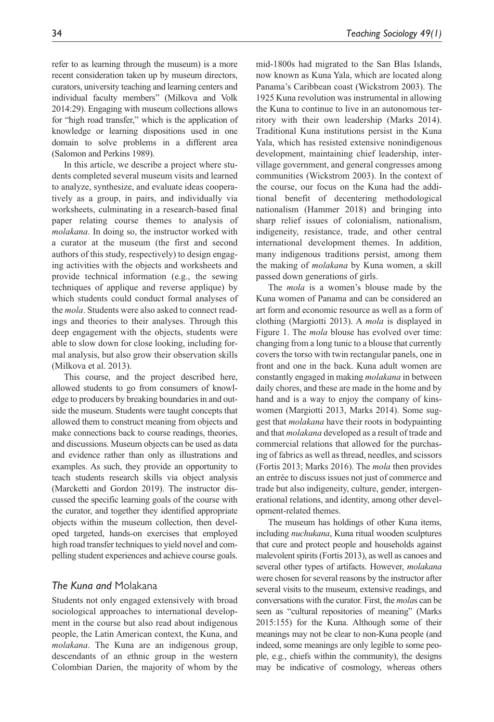refer to as learning through the museum) is a more recent consideration taken up by museum directors, curators, university teaching and learning centers and individual faculty members" (Milkova and Volk 2014:29). Engaging with museum collections allows for "high road transfer," which is the application of knowledge or learning dispositions used in one domain to solve problems in a different area (Salomon and Perkins 1989).

In this article, we describe a project where students completed several museum visits and learned to analyze, synthesize, and evaluate ideas cooperatively as a group, in pairs, and individually via worksheets, culminating in a research-based final paper relating course themes to analysis of *molakana*. In doing so, the instructor worked with a curator at the museum (the first and second authors of this study, respectively) to design engaging activities with the objects and worksheets and provide technical information (e.g., the sewing techniques of applique and reverse applique) by which students could conduct formal analyses of the *mola*. Students were also asked to connect readings and theories to their analyses. Through this deep engagement with the objects, students were able to slow down for close looking, including formal analysis, but also grow their observation skills (Milkova et al. 2013).

This course, and the project described here, allowed students to go from consumers of knowledge to producers by breaking boundaries in and outside the museum. Students were taught concepts that allowed them to construct meaning from objects and make connections back to course readings, theories, and discussions. Museum objects can be used as data and evidence rather than only as illustrations and examples. As such, they provide an opportunity to teach students research skills via object analysis (Marcketti and Gordon 2019). The instructor discussed the specific learning goals of the course with the curator, and together they identified appropriate objects within the museum collection, then developed targeted, hands-on exercises that employed high road transfer techniques to yield novel and compelling student experiences and achieve course goals.

#### *The Kuna and* Molakana

Students not only engaged extensively with broad sociological approaches to international development in the course but also read about indigenous people, the Latin American context, the Kuna, and *molakana*. The Kuna are an indigenous group, descendants of an ethnic group in the western Colombian Darien, the majority of whom by the mid-1800s had migrated to the San Blas Islands, now known as Kuna Yala, which are located along Panama's Caribbean coast (Wickstrom 2003). The 1925 Kuna revolution was instrumental in allowing the Kuna to continue to live in an autonomous territory with their own leadership (Marks 2014). Traditional Kuna institutions persist in the Kuna Yala, which has resisted extensive nonindigenous development, maintaining chief leadership, intervillage government, and general congresses among communities (Wickstrom 2003). In the context of the course, our focus on the Kuna had the additional benefit of decentering methodological nationalism (Hammer 2018) and bringing into sharp relief issues of colonialism, nationalism, indigeneity, resistance, trade, and other central international development themes. In addition, many indigenous traditions persist, among them the making of *molakana* by Kuna women, a skill passed down generations of girls.

The *mola* is a women's blouse made by the Kuna women of Panama and can be considered an art form and economic resource as well as a form of clothing (Margiotti 2013). A *mola* is displayed in Figure 1. The *mola* blouse has evolved over time: changing from a long tunic to a blouse that currently covers the torso with twin rectangular panels, one in front and one in the back. Kuna adult women are constantly engaged in making *molakana* in between daily chores, and these are made in the home and by hand and is a way to enjoy the company of kinswomen (Margiotti 2013, Marks 2014). Some suggest that *molakana* have their roots in bodypainting and that *molakana* developed as a result of trade and commercial relations that allowed for the purchasing of fabrics as well as thread, needles, and scissors (Fortis 2013; Marks 2016). The *mola* then provides an entrée to discuss issues not just of commerce and trade but also indigeneity, culture, gender, intergenerational relations, and identity, among other development-related themes.

The museum has holdings of other Kuna items, including *nuchukana*, Kuna ritual wooden sculptures that cure and protect people and households against malevolent spirits (Fortis 2013), as well as canoes and several other types of artifacts. However, *molakana* were chosen for several reasons by the instructor after several visits to the museum, extensive readings, and conversations with the curator. First, the *mola*s can be seen as "cultural repositories of meaning" (Marks 2015:155) for the Kuna. Although some of their meanings may not be clear to non-Kuna people (and indeed, some meanings are only legible to some people, e.g., chiefs within the community), the designs may be indicative of cosmology, whereas others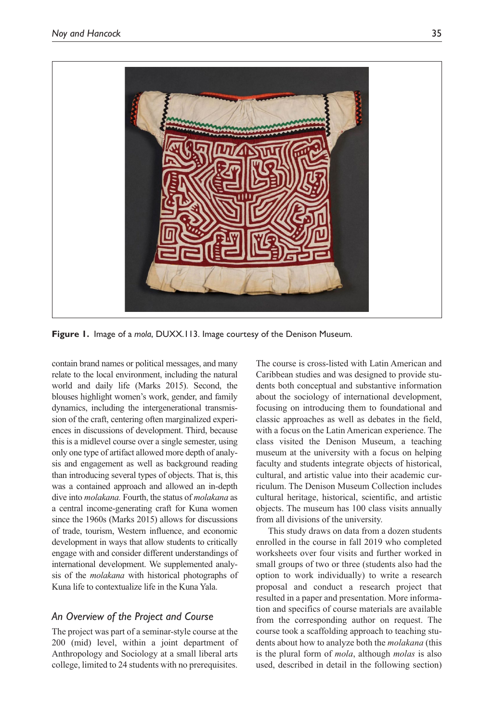

**Figure 1.** Image of a *mola*, DUXX.113. Image courtesy of the Denison Museum.

contain brand names or political messages, and many relate to the local environment, including the natural world and daily life (Marks 2015). Second, the blouses highlight women's work, gender, and family dynamics, including the intergenerational transmission of the craft, centering often marginalized experiences in discussions of development. Third, because this is a midlevel course over a single semester, using only one type of artifact allowed more depth of analysis and engagement as well as background reading than introducing several types of objects. That is, this was a contained approach and allowed an in-depth dive into *molakana.* Fourth, the status of *molakana* as a central income-generating craft for Kuna women since the 1960s (Marks 2015) allows for discussions of trade, tourism, Western influence, and economic development in ways that allow students to critically engage with and consider different understandings of international development. We supplemented analysis of the *molakana* with historical photographs of Kuna life to contextualize life in the Kuna Yala.

#### *An Overview of the Project and Course*

The project was part of a seminar-style course at the 200 (mid) level, within a joint department of Anthropology and Sociology at a small liberal arts college, limited to 24 students with no prerequisites.

The course is cross-listed with Latin American and Caribbean studies and was designed to provide students both conceptual and substantive information about the sociology of international development, focusing on introducing them to foundational and classic approaches as well as debates in the field, with a focus on the Latin American experience. The class visited the Denison Museum, a teaching museum at the university with a focus on helping faculty and students integrate objects of historical, cultural, and artistic value into their academic curriculum. The Denison Museum Collection includes cultural heritage, historical, scientific, and artistic objects. The museum has 100 class visits annually from all divisions of the university.

This study draws on data from a dozen students enrolled in the course in fall 2019 who completed worksheets over four visits and further worked in small groups of two or three (students also had the option to work individually) to write a research proposal and conduct a research project that resulted in a paper and presentation. More information and specifics of course materials are available from the corresponding author on request. The course took a scaffolding approach to teaching students about how to analyze both the *molakana* (this is the plural form of *mola*, although *molas* is also used, described in detail in the following section)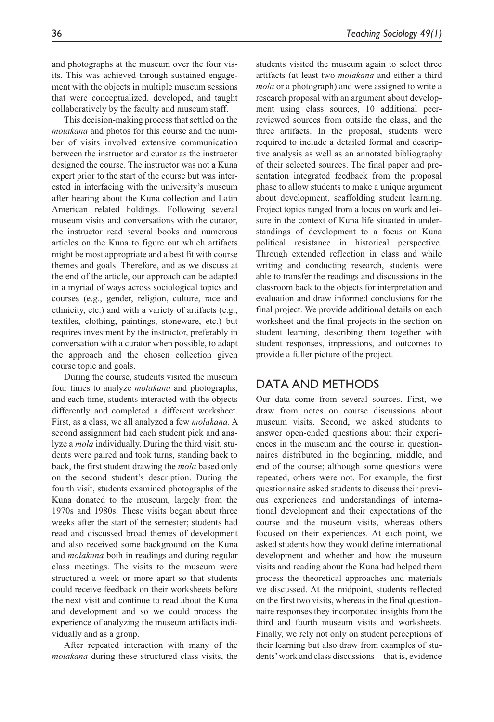and photographs at the museum over the four visits. This was achieved through sustained engagement with the objects in multiple museum sessions that were conceptualized, developed, and taught collaboratively by the faculty and museum staff.

This decision-making process that settled on the *molakana* and photos for this course and the number of visits involved extensive communication between the instructor and curator as the instructor designed the course. The instructor was not a Kuna expert prior to the start of the course but was interested in interfacing with the university's museum after hearing about the Kuna collection and Latin American related holdings. Following several museum visits and conversations with the curator, the instructor read several books and numerous articles on the Kuna to figure out which artifacts might be most appropriate and a best fit with course themes and goals. Therefore, and as we discuss at the end of the article, our approach can be adapted in a myriad of ways across sociological topics and courses (e.g., gender, religion, culture, race and ethnicity, etc.) and with a variety of artifacts (e.g., textiles, clothing, paintings, stoneware, etc.) but requires investment by the instructor, preferably in conversation with a curator when possible, to adapt the approach and the chosen collection given course topic and goals.

During the course, students visited the museum four times to analyze *molakana* and photographs, and each time, students interacted with the objects differently and completed a different worksheet. First, as a class, we all analyzed a few *molakana*. A second assignment had each student pick and analyze a *mola* individually. During the third visit, students were paired and took turns, standing back to back, the first student drawing the *mola* based only on the second student's description. During the fourth visit, students examined photographs of the Kuna donated to the museum, largely from the 1970s and 1980s. These visits began about three weeks after the start of the semester; students had read and discussed broad themes of development and also received some background on the Kuna and *molakana* both in readings and during regular class meetings. The visits to the museum were structured a week or more apart so that students could receive feedback on their worksheets before the next visit and continue to read about the Kuna and development and so we could process the experience of analyzing the museum artifacts individually and as a group.

After repeated interaction with many of the *molakana* during these structured class visits, the students visited the museum again to select three artifacts (at least two *molakana* and either a third *mola* or a photograph) and were assigned to write a research proposal with an argument about development using class sources, 10 additional peerreviewed sources from outside the class, and the three artifacts. In the proposal, students were required to include a detailed formal and descriptive analysis as well as an annotated bibliography of their selected sources. The final paper and presentation integrated feedback from the proposal phase to allow students to make a unique argument about development, scaffolding student learning. Project topics ranged from a focus on work and leisure in the context of Kuna life situated in understandings of development to a focus on Kuna political resistance in historical perspective. Through extended reflection in class and while writing and conducting research, students were able to transfer the readings and discussions in the classroom back to the objects for interpretation and evaluation and draw informed conclusions for the

final project. We provide additional details on each worksheet and the final projects in the section on student learning, describing them together with student responses, impressions, and outcomes to provide a fuller picture of the project.

#### DATA AND METHODS

Our data come from several sources. First, we draw from notes on course discussions about museum visits. Second, we asked students to answer open-ended questions about their experiences in the museum and the course in questionnaires distributed in the beginning, middle, and end of the course; although some questions were repeated, others were not. For example, the first questionnaire asked students to discuss their previous experiences and understandings of international development and their expectations of the course and the museum visits, whereas others focused on their experiences. At each point, we asked students how they would define international development and whether and how the museum visits and reading about the Kuna had helped them process the theoretical approaches and materials we discussed. At the midpoint, students reflected on the first two visits, whereas in the final questionnaire responses they incorporated insights from the third and fourth museum visits and worksheets. Finally, we rely not only on student perceptions of their learning but also draw from examples of students' work and class discussions—that is, evidence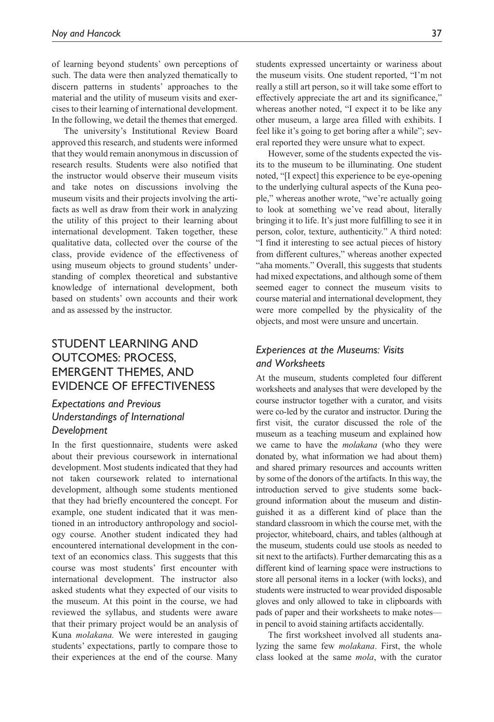of learning beyond students' own perceptions of such. The data were then analyzed thematically to discern patterns in students' approaches to the material and the utility of museum visits and exercises to their learning of international development. In the following, we detail the themes that emerged.

The university's Institutional Review Board approved this research, and students were informed that they would remain anonymous in discussion of research results. Students were also notified that the instructor would observe their museum visits and take notes on discussions involving the museum visits and their projects involving the artifacts as well as draw from their work in analyzing the utility of this project to their learning about international development. Taken together, these qualitative data, collected over the course of the class, provide evidence of the effectiveness of using museum objects to ground students' understanding of complex theoretical and substantive knowledge of international development, both based on students' own accounts and their work and as assessed by the instructor.

## Student Learning and Outcomes: Process, Emergent Themes, and Evidence of Effectiveness

#### *Expectations and Previous Understandings of International Development*

In the first questionnaire, students were asked about their previous coursework in international development. Most students indicated that they had not taken coursework related to international development, although some students mentioned that they had briefly encountered the concept. For example, one student indicated that it was mentioned in an introductory anthropology and sociology course. Another student indicated they had encountered international development in the context of an economics class. This suggests that this course was most students' first encounter with international development. The instructor also asked students what they expected of our visits to the museum. At this point in the course, we had reviewed the syllabus, and students were aware that their primary project would be an analysis of Kuna *molakana.* We were interested in gauging students' expectations, partly to compare those to their experiences at the end of the course. Many

students expressed uncertainty or wariness about the museum visits. One student reported, "I'm not really a still art person, so it will take some effort to effectively appreciate the art and its significance," whereas another noted, "I expect it to be like any other museum, a large area filled with exhibits. I feel like it's going to get boring after a while"; several reported they were unsure what to expect.

However, some of the students expected the visits to the museum to be illuminating. One student noted, "[I expect] this experience to be eye-opening to the underlying cultural aspects of the Kuna people," whereas another wrote, "we're actually going to look at something we've read about, literally bringing it to life. It's just more fulfilling to see it in person, color, texture, authenticity." A third noted: "I find it interesting to see actual pieces of history from different cultures," whereas another expected "aha moments." Overall, this suggests that students had mixed expectations, and although some of them seemed eager to connect the museum visits to course material and international development, they were more compelled by the physicality of the objects, and most were unsure and uncertain.

#### *Experiences at the Museums: Visits and Worksheets*

At the museum, students completed four different worksheets and analyses that were developed by the course instructor together with a curator, and visits were co-led by the curator and instructor. During the first visit, the curator discussed the role of the museum as a teaching museum and explained how we came to have the *molakana* (who they were donated by, what information we had about them) and shared primary resources and accounts written by some of the donors of the artifacts. In this way, the introduction served to give students some background information about the museum and distinguished it as a different kind of place than the standard classroom in which the course met, with the projector, whiteboard, chairs, and tables (although at the museum, students could use stools as needed to sit next to the artifacts). Further demarcating this as a different kind of learning space were instructions to store all personal items in a locker (with locks), and students were instructed to wear provided disposable gloves and only allowed to take in clipboards with pads of paper and their worksheets to make notes in pencil to avoid staining artifacts accidentally.

The first worksheet involved all students analyzing the same few *molakana*. First, the whole class looked at the same *mola*, with the curator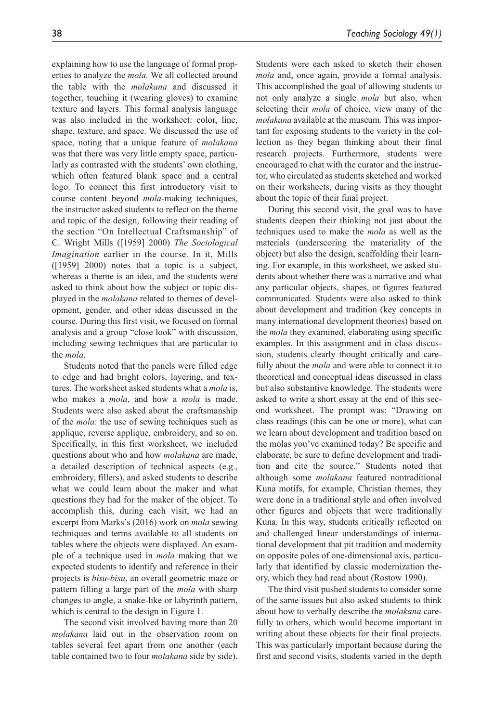explaining how to use the language of formal properties to analyze the *mola.* We all collected around the table with the *molakana* and discussed it together, touching it (wearing gloves) to examine texture and layers. This formal analysis language was also included in the worksheet: color, line, shape, texture, and space. We discussed the use of space, noting that a unique feature of *molakana* was that there was very little empty space, particularly as contrasted with the students' own clothing, which often featured blank space and a central logo. To connect this first introductory visit to course content beyond *mola*-making techniques, the instructor asked students to reflect on the theme and topic of the design, following their reading of the section "On Intellectual Craftsmanship" of C. Wright Mills ([1959] 2000) *The Sociological Imagination* earlier in the course. In it, Mills ([1959] 2000) notes that a topic is a subject, whereas a theme is an idea, and the students were asked to think about how the subject or topic displayed in the *molakana* related to themes of development, gender, and other ideas discussed in the course. During this first visit, we focused on formal analysis and a group "close look" with discussion, including sewing techniques that are particular to the *mola.*

Students noted that the panels were filled edge to edge and had bright colors, layering, and textures. The worksheet asked students what a *mola* is, who makes a *mola*, and how a *mola* is made. Students were also asked about the craftsmanship of the *mola*: the use of sewing techniques such as applique, reverse applique, embroidery, and so on. Specifically, in this first worksheet, we included questions about who and how *molakana* are made, a detailed description of technical aspects (e.g., embroidery, fillers), and asked students to describe what we could learn about the maker and what questions they had for the maker of the object. To accomplish this, during each visit, we had an excerpt from Marks's (2016) work on *mola* sewing techniques and terms available to all students on tables where the objects were displayed. An example of a technique used in *mola* making that we expected students to identify and reference in their projects is *bisu-bisu*, an overall geometric maze or pattern filling a large part of the *mola* with sharp changes to angle, a snake-like or labyrinth pattern, which is central to the design in Figure 1.

The second visit involved having more than 20 *molakana* laid out in the observation room on tables several feet apart from one another (each table contained two to four *molakana* side by side). Students were each asked to sketch their chosen *mola* and, once again, provide a formal analysis. This accomplished the goal of allowing students to not only analyze a single *mola* but also, when selecting their *mola* of choice, view many of the *molakana* available at the museum. This was important for exposing students to the variety in the collection as they began thinking about their final research projects. Furthermore, students were encouraged to chat with the curator and the instructor, who circulated as students sketched and worked on their worksheets, during visits as they thought about the topic of their final project.

During this second visit, the goal was to have students deepen their thinking not just about the techniques used to make the *mola* as well as the materials (underscoring the materiality of the object) but also the design, scaffolding their learning. For example, in this worksheet, we asked students about whether there was a narrative and what any particular objects, shapes, or figures featured communicated. Students were also asked to think about development and tradition (key concepts in many international development theories) based on the *mola* they examined, elaborating using specific examples. In this assignment and in class discussion, students clearly thought critically and carefully about the *mola* and were able to connect it to theoretical and conceptual ideas discussed in class but also substantive knowledge. The students were asked to write a short essay at the end of this second worksheet. The prompt was: "Drawing on class readings (this can be one or more), what can we learn about development and tradition based on the molas you've examined today? Be specific and elaborate, be sure to define development and tradition and cite the source." Students noted that although some *molakana* featured nontraditional Kuna motifs, for example, Christian themes, they were done in a traditional style and often involved other figures and objects that were traditionally Kuna. In this way, students critically reflected on and challenged linear understandings of international development that pit tradition and modernity on opposite poles of one-dimensional axis, particularly that identified by classic modernization theory, which they had read about (Rostow 1990).

The third visit pushed students to consider some of the same issues but also asked students to think about how to verbally describe the *molakana* carefully to others, which would become important in writing about these objects for their final projects. This was particularly important because during the first and second visits, students varied in the depth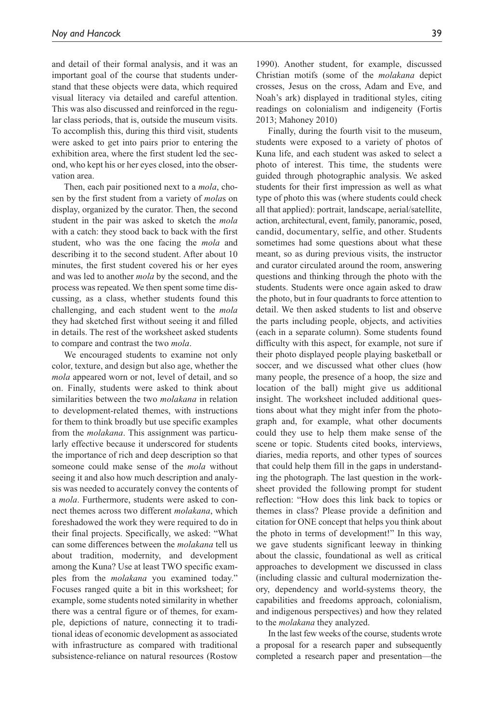and detail of their formal analysis, and it was an important goal of the course that students understand that these objects were data, which required visual literacy via detailed and careful attention. This was also discussed and reinforced in the regular class periods, that is, outside the museum visits. To accomplish this, during this third visit, students were asked to get into pairs prior to entering the exhibition area, where the first student led the second, who kept his or her eyes closed, into the observation area.

Then, each pair positioned next to a *mola*, chosen by the first student from a variety of *mola*s on display, organized by the curator. Then, the second student in the pair was asked to sketch the *mola* with a catch: they stood back to back with the first student, who was the one facing the *mola* and describing it to the second student. After about 10 minutes, the first student covered his or her eyes and was led to another *mola* by the second, and the process was repeated. We then spent some time discussing, as a class, whether students found this challenging, and each student went to the *mola* they had sketched first without seeing it and filled in details. The rest of the worksheet asked students to compare and contrast the two *mola*.

We encouraged students to examine not only color, texture, and design but also age, whether the *mola* appeared worn or not, level of detail, and so on. Finally, students were asked to think about similarities between the two *molakana* in relation to development-related themes, with instructions for them to think broadly but use specific examples from the *molakana*. This assignment was particularly effective because it underscored for students the importance of rich and deep description so that someone could make sense of the *mola* without seeing it and also how much description and analysis was needed to accurately convey the contents of a *mola*. Furthermore, students were asked to connect themes across two different *molakana*, which foreshadowed the work they were required to do in their final projects. Specifically, we asked: "What can some differences between the *molakana* tell us about tradition, modernity, and development among the Kuna? Use at least TWO specific examples from the *molakana* you examined today." Focuses ranged quite a bit in this worksheet; for example, some students noted similarity in whether there was a central figure or of themes, for example, depictions of nature, connecting it to traditional ideas of economic development as associated with infrastructure as compared with traditional subsistence-reliance on natural resources (Rostow

1990). Another student, for example, discussed Christian motifs (some of the *molakana* depict crosses, Jesus on the cross, Adam and Eve, and Noah's ark) displayed in traditional styles, citing readings on colonialism and indigeneity (Fortis 2013; Mahoney 2010)

Finally, during the fourth visit to the museum, students were exposed to a variety of photos of Kuna life, and each student was asked to select a photo of interest. This time, the students were guided through photographic analysis. We asked students for their first impression as well as what type of photo this was (where students could check all that applied): portrait, landscape, aerial/satellite, action, architectural, event, family, panoramic, posed, candid, documentary, selfie, and other. Students sometimes had some questions about what these meant, so as during previous visits, the instructor and curator circulated around the room, answering questions and thinking through the photo with the students. Students were once again asked to draw the photo, but in four quadrants to force attention to detail. We then asked students to list and observe the parts including people, objects, and activities (each in a separate column). Some students found difficulty with this aspect, for example, not sure if their photo displayed people playing basketball or soccer, and we discussed what other clues (how many people, the presence of a hoop, the size and location of the ball) might give us additional insight. The worksheet included additional questions about what they might infer from the photograph and, for example, what other documents could they use to help them make sense of the scene or topic. Students cited books, interviews, diaries, media reports, and other types of sources that could help them fill in the gaps in understanding the photograph. The last question in the worksheet provided the following prompt for student reflection: "How does this link back to topics or themes in class? Please provide a definition and citation for ONE concept that helps you think about the photo in terms of development!" In this way, we gave students significant leeway in thinking about the classic, foundational as well as critical approaches to development we discussed in class (including classic and cultural modernization theory, dependency and world-systems theory, the capabilities and freedoms approach, colonialism, and indigenous perspectives) and how they related to the *molakana* they analyzed.

In the last few weeks of the course, students wrote a proposal for a research paper and subsequently completed a research paper and presentation—the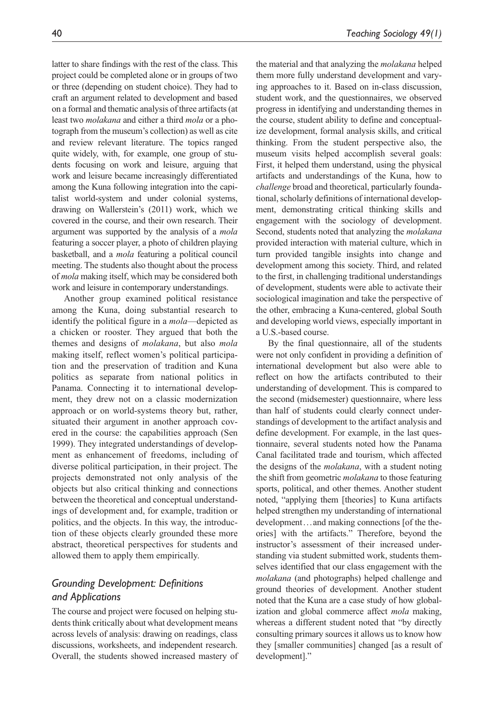latter to share findings with the rest of the class. This project could be completed alone or in groups of two or three (depending on student choice). They had to craft an argument related to development and based on a formal and thematic analysis of three artifacts (at least two *molakana* and either a third *mola* or a photograph from the museum's collection) as well as cite and review relevant literature. The topics ranged quite widely, with, for example, one group of students focusing on work and leisure, arguing that work and leisure became increasingly differentiated among the Kuna following integration into the capitalist world-system and under colonial systems, drawing on Wallerstein's (2011) work, which we covered in the course, and their own research. Their argument was supported by the analysis of a *mola* featuring a soccer player, a photo of children playing basketball, and a *mola* featuring a political council meeting. The students also thought about the process of *mola* making itself, which may be considered both work and leisure in contemporary understandings.

Another group examined political resistance among the Kuna, doing substantial research to identify the political figure in a *mola*—depicted as a chicken or rooster. They argued that both the themes and designs of *molakana*, but also *mola* making itself, reflect women's political participation and the preservation of tradition and Kuna politics as separate from national politics in Panama. Connecting it to international development, they drew not on a classic modernization approach or on world-systems theory but, rather, situated their argument in another approach covered in the course: the capabilities approach (Sen 1999). They integrated understandings of development as enhancement of freedoms, including of diverse political participation, in their project. The projects demonstrated not only analysis of the objects but also critical thinking and connections between the theoretical and conceptual understandings of development and, for example, tradition or politics, and the objects. In this way, the introduction of these objects clearly grounded these more abstract, theoretical perspectives for students and allowed them to apply them empirically.

#### *Grounding Development: Definitions and Applications*

The course and project were focused on helping students think critically about what development means across levels of analysis: drawing on readings, class discussions, worksheets, and independent research. Overall, the students showed increased mastery of the material and that analyzing the *molakana* helped them more fully understand development and varying approaches to it. Based on in-class discussion, student work, and the questionnaires, we observed progress in identifying and understanding themes in the course, student ability to define and conceptualize development, formal analysis skills, and critical thinking. From the student perspective also, the museum visits helped accomplish several goals: First, it helped them understand, using the physical artifacts and understandings of the Kuna, how to *challenge* broad and theoretical, particularly foundational, scholarly definitions of international development, demonstrating critical thinking skills and engagement with the sociology of development. Second, students noted that analyzing the *molakana* provided interaction with material culture, which in turn provided tangible insights into change and development among this society. Third, and related to the first, in challenging traditional understandings of development, students were able to activate their sociological imagination and take the perspective of the other, embracing a Kuna-centered, global South and developing world views, especially important in a U.S.-based course.

By the final questionnaire, all of the students were not only confident in providing a definition of international development but also were able to reflect on how the artifacts contributed to their understanding of development. This is compared to the second (midsemester) questionnaire, where less than half of students could clearly connect understandings of development to the artifact analysis and define development. For example, in the last questionnaire, several students noted how the Panama Canal facilitated trade and tourism, which affected the designs of the *molakana*, with a student noting the shift from geometric *molakana* to those featuring sports, political, and other themes. Another student noted, "applying them [theories] to Kuna artifacts helped strengthen my understanding of international development...and making connections [of the theories] with the artifacts." Therefore, beyond the instructor's assessment of their increased understanding via student submitted work, students themselves identified that our class engagement with the *molakana* (and photographs) helped challenge and ground theories of development. Another student noted that the Kuna are a case study of how globalization and global commerce affect *mola* making, whereas a different student noted that "by directly consulting primary sources it allows us to know how they [smaller communities] changed [as a result of development]."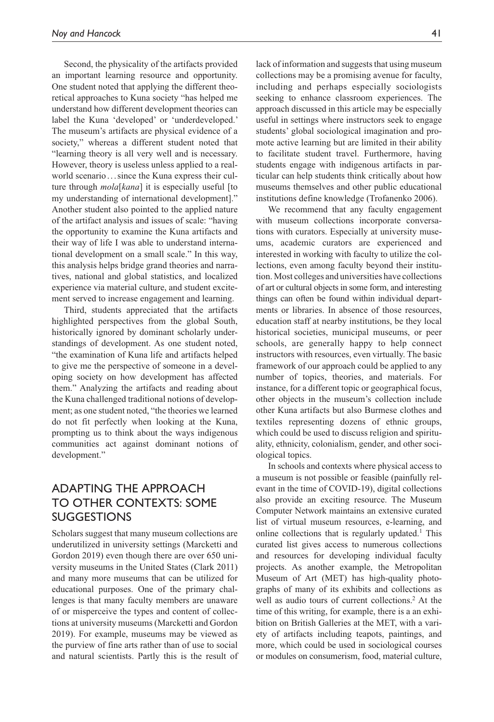Second, the physicality of the artifacts provided an important learning resource and opportunity. One student noted that applying the different theoretical approaches to Kuna society "has helped me understand how different development theories can label the Kuna 'developed' or 'underdeveloped.' The museum's artifacts are physical evidence of a society," whereas a different student noted that "learning theory is all very well and is necessary. However, theory is useless unless applied to a realworld scenario...since the Kuna express their culture through *mola*[*kana*] it is especially useful [to my understanding of international development]." Another student also pointed to the applied nature of the artifact analysis and issues of scale: "having the opportunity to examine the Kuna artifacts and their way of life I was able to understand international development on a small scale." In this way, this analysis helps bridge grand theories and narratives, national and global statistics, and localized experience via material culture, and student excitement served to increase engagement and learning.

Third, students appreciated that the artifacts highlighted perspectives from the global South, historically ignored by dominant scholarly understandings of development. As one student noted, "the examination of Kuna life and artifacts helped to give me the perspective of someone in a developing society on how development has affected them." Analyzing the artifacts and reading about the Kuna challenged traditional notions of development; as one student noted, "the theories we learned do not fit perfectly when looking at the Kuna, prompting us to think about the ways indigenous communities act against dominant notions of development."

## Adapting The Approach to other Contexts: Some **SUGGESTIONS**

Scholars suggest that many museum collections are underutilized in university settings (Marcketti and Gordon 2019) even though there are over 650 university museums in the United States (Clark 2011) and many more museums that can be utilized for educational purposes. One of the primary challenges is that many faculty members are unaware of or misperceive the types and content of collections at university museums (Marcketti and Gordon 2019). For example, museums may be viewed as the purview of fine arts rather than of use to social and natural scientists. Partly this is the result of lack of information and suggests that using museum collections may be a promising avenue for faculty, including and perhaps especially sociologists seeking to enhance classroom experiences. The approach discussed in this article may be especially useful in settings where instructors seek to engage students' global sociological imagination and promote active learning but are limited in their ability to facilitate student travel. Furthermore, having students engage with indigenous artifacts in particular can help students think critically about how museums themselves and other public educational institutions define knowledge (Trofanenko 2006).

We recommend that any faculty engagement with museum collections incorporate conversations with curators. Especially at university museums, academic curators are experienced and interested in working with faculty to utilize the collections, even among faculty beyond their institution. Most colleges and universities have collections of art or cultural objects in some form, and interesting things can often be found within individual departments or libraries. In absence of those resources, education staff at nearby institutions, be they local historical societies, municipal museums, or peer schools, are generally happy to help connect instructors with resources, even virtually. The basic framework of our approach could be applied to any number of topics, theories, and materials. For instance, for a different topic or geographical focus, other objects in the museum's collection include other Kuna artifacts but also Burmese clothes and textiles representing dozens of ethnic groups, which could be used to discuss religion and spirituality, ethnicity, colonialism, gender, and other sociological topics.

In schools and contexts where physical access to a museum is not possible or feasible (painfully relevant in the time of COVID-19), digital collections also provide an exciting resource. The Museum Computer Network maintains an extensive curated list of virtual museum resources, e-learning, and online collections that is regularly updated.<sup>1</sup> This curated list gives access to numerous collections and resources for developing individual faculty projects. As another example, the Metropolitan Museum of Art (MET) has high-quality photographs of many of its exhibits and collections as well as audio tours of current collections.<sup>2</sup> At the time of this writing, for example, there is a an exhibition on British Galleries at the MET, with a variety of artifacts including teapots, paintings, and more, which could be used in sociological courses or modules on consumerism, food, material culture,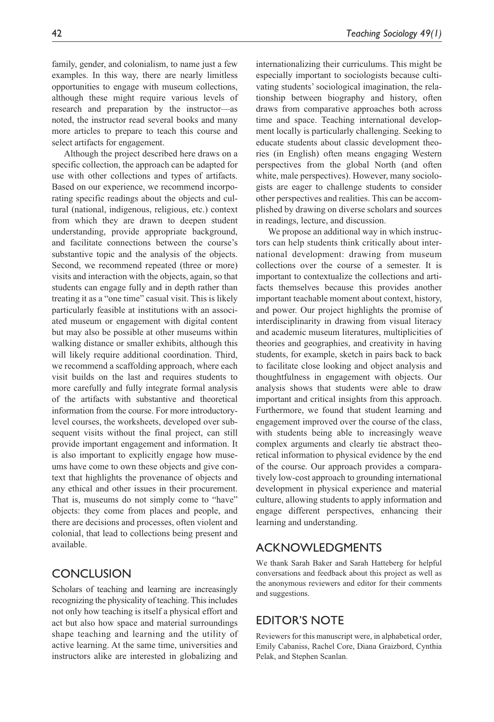family, gender, and colonialism, to name just a few examples. In this way, there are nearly limitless opportunities to engage with museum collections, although these might require various levels of research and preparation by the instructor—as noted, the instructor read several books and many more articles to prepare to teach this course and select artifacts for engagement.

Although the project described here draws on a specific collection, the approach can be adapted for use with other collections and types of artifacts. Based on our experience, we recommend incorporating specific readings about the objects and cultural (national, indigenous, religious, etc.) context from which they are drawn to deepen student understanding, provide appropriate background, and facilitate connections between the course's substantive topic and the analysis of the objects. Second, we recommend repeated (three or more) visits and interaction with the objects, again, so that students can engage fully and in depth rather than treating it as a "one time" casual visit. This is likely particularly feasible at institutions with an associated museum or engagement with digital content but may also be possible at other museums within walking distance or smaller exhibits, although this will likely require additional coordination. Third, we recommend a scaffolding approach, where each visit builds on the last and requires students to more carefully and fully integrate formal analysis of the artifacts with substantive and theoretical information from the course. For more introductorylevel courses, the worksheets, developed over subsequent visits without the final project, can still provide important engagement and information. It is also important to explicitly engage how museums have come to own these objects and give context that highlights the provenance of objects and any ethical and other issues in their procurement. That is, museums do not simply come to "have" objects: they come from places and people, and there are decisions and processes, often violent and colonial, that lead to collections being present and available.

## **CONCLUSION**

Scholars of teaching and learning are increasingly recognizing the physicality of teaching. This includes not only how teaching is itself a physical effort and act but also how space and material surroundings shape teaching and learning and the utility of active learning. At the same time, universities and instructors alike are interested in globalizing and internationalizing their curriculums. This might be especially important to sociologists because cultivating students' sociological imagination, the relationship between biography and history, often draws from comparative approaches both across time and space. Teaching international development locally is particularly challenging. Seeking to educate students about classic development theories (in English) often means engaging Western perspectives from the global North (and often white, male perspectives). However, many sociologists are eager to challenge students to consider other perspectives and realities. This can be accomplished by drawing on diverse scholars and sources in readings, lecture, and discussion.

We propose an additional way in which instructors can help students think critically about international development: drawing from museum collections over the course of a semester. It is important to contextualize the collections and artifacts themselves because this provides another important teachable moment about context, history, and power. Our project highlights the promise of interdisciplinarity in drawing from visual literacy and academic museum literatures, multiplicities of theories and geographies, and creativity in having students, for example, sketch in pairs back to back to facilitate close looking and object analysis and thoughtfulness in engagement with objects. Our analysis shows that students were able to draw important and critical insights from this approach. Furthermore, we found that student learning and engagement improved over the course of the class, with students being able to increasingly weave complex arguments and clearly tie abstract theoretical information to physical evidence by the end of the course. Our approach provides a comparatively low-cost approach to grounding international development in physical experience and material culture, allowing students to apply information and engage different perspectives, enhancing their learning and understanding.

## **ACKNOWLEDGMENTS**

We thank Sarah Baker and Sarah Hatteberg for helpful conversations and feedback about this project as well as the anonymous reviewers and editor for their comments and suggestions.

## **EDITOR'S NOTE**

Reviewers for this manuscript were, in alphabetical order, Emily Cabaniss, Rachel Core, Diana Graizbord, Cynthia Pelak, and Stephen Scanlan.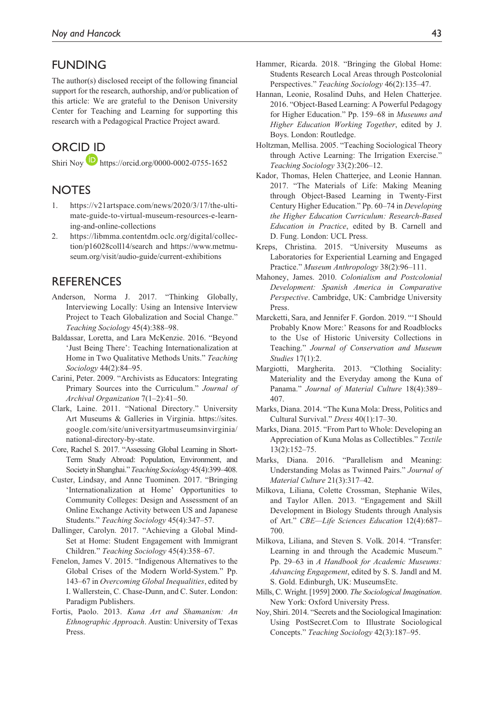### **FUNDING**

The author(s) disclosed receipt of the following financial support for the research, authorship, and/or publication of this article: We are grateful to the Denison University Center for Teaching and Learning for supporting this research with a Pedagogical Practice Project award.

## ORCID iD

Shiri Noy <https://orcid.org/0000-0002-0755-1652>

## **NOTES**

- 1. [https://v21artspace.com/news/2020/3/17/the-ulti](https://v21artspace.com/news/2020/3/17/the-ultimate-guide-to-virtual-museum-resources-e-learning-and-online-collections)[mate-guide-to-virtual-museum-resources-e-learn](https://v21artspace.com/news/2020/3/17/the-ultimate-guide-to-virtual-museum-resources-e-learning-and-online-collections)[ing-and-online-collections](https://v21artspace.com/news/2020/3/17/the-ultimate-guide-to-virtual-museum-resources-e-learning-and-online-collections)
- 2. [https://libmma.contentdm.oclc.org/digital/collec](https://libmma.contentdm.oclc.org/digital/collection/p16028coll14/search)[tion/p16028coll14/search](https://libmma.contentdm.oclc.org/digital/collection/p16028coll14/search) and [https://www.metmu](https://www.metmuseum.org/visit/audio-guide/current-exhibitions)[seum.org/visit/audio-guide/current-exhibitions](https://www.metmuseum.org/visit/audio-guide/current-exhibitions)

## **REFERENCES**

- Anderson, Norma J. 2017. "Thinking Globally, Interviewing Locally: Using an Intensive Interview Project to Teach Globalization and Social Change." *Teaching Sociology* 45(4):388–98.
- Baldassar, Loretta, and Lara McKenzie. 2016. "Beyond 'Just Being There': Teaching Internationalization at Home in Two Qualitative Methods Units." *Teaching Sociology* 44(2):84–95.
- Carini, Peter. 2009. "Archivists as Educators: Integrating Primary Sources into the Curriculum." *Journal of Archival Organization* 7(1–2):41–50.
- Clark, Laine. 2011. "National Directory." University Art Museums & Galleries in Virginia. [https://sites.](https://sites.google.com/site/universityartmuseumsinvirginia/national-directory-by-state) [google.com/site/universityartmuseumsinvirginia/](https://sites.google.com/site/universityartmuseumsinvirginia/national-directory-by-state) [national-directory-by-state](https://sites.google.com/site/universityartmuseumsinvirginia/national-directory-by-state).
- Core, Rachel S. 2017. "Assessing Global Learning in Short-Term Study Abroad: Population, Environment, and Society in Shanghai." *Teaching Sociology* 45(4):399–408.
- Custer, Lindsay, and Anne Tuominen. 2017. "Bringing 'Internationalization at Home' Opportunities to Community Colleges: Design and Assessment of an Online Exchange Activity between US and Japanese Students." *Teaching Sociology* 45(4):347–57.
- Dallinger, Carolyn. 2017. "Achieving a Global Mind-Set at Home: Student Engagement with Immigrant Children." *Teaching Sociology* 45(4):358–67.
- Fenelon, James V. 2015. "Indigenous Alternatives to the Global Crises of the Modern World-System." Pp. 143–67 in *Overcoming Global Inequalities*, edited by I. Wallerstein, C. Chase-Dunn, and C. Suter. London: Paradigm Publishers.
- Fortis, Paolo. 2013. *Kuna Art and Shamanism: An Ethnographic Approach*. Austin: University of Texas Press.
- Hammer, Ricarda. 2018. "Bringing the Global Home: Students Research Local Areas through Postcolonial Perspectives." *Teaching Sociology* 46(2):135–47.
- Hannan, Leonie, Rosalind Duhs, and Helen Chatterjee. 2016. "Object-Based Learning: A Powerful Pedagogy for Higher Education." Pp. 159–68 in *Museums and Higher Education Working Together*, edited by J. Boys. London: Routledge.
- Holtzman, Mellisa. 2005. "Teaching Sociological Theory through Active Learning: The Irrigation Exercise." *Teaching Sociology* 33(2):206–12.
- Kador, Thomas, Helen Chatterjee, and Leonie Hannan. 2017. "The Materials of Life: Making Meaning through Object-Based Learning in Twenty-First Century Higher Education." Pp. 60–74 in *Developing the Higher Education Curriculum: Research-Based Education in Practice*, edited by B. Carnell and D. Fung. London: UCL Press.
- Kreps, Christina. 2015. "University Museums as Laboratories for Experiential Learning and Engaged Practice." *Museum Anthropology* 38(2):96–111.
- Mahoney, James. 2010. *Colonialism and Postcolonial Development: Spanish America in Comparative Perspective*. Cambridge, UK: Cambridge University Press.
- Marcketti, Sara, and Jennifer F. Gordon. 2019. "'I Should Probably Know More:' Reasons for and Roadblocks to the Use of Historic University Collections in Teaching." *Journal of Conservation and Museum Studies* 17(1):2.
- Margiotti, Margherita. 2013. "Clothing Sociality: Materiality and the Everyday among the Kuna of Panama." *Journal of Material Culture* 18(4):389– 407.
- Marks, Diana. 2014. "The Kuna Mola: Dress, Politics and Cultural Survival." *Dress* 40(1):17–30.
- Marks, Diana. 2015. "From Part to Whole: Developing an Appreciation of Kuna Molas as Collectibles." *Textile* 13(2):152–75.
- Marks, Diana. 2016. "Parallelism and Meaning: Understanding Molas as Twinned Pairs." *Journal of Material Culture* 21(3):317–42.
- Milkova, Liliana, Colette Crossman, Stephanie Wiles, and Taylor Allen. 2013. "Engagement and Skill Development in Biology Students through Analysis of Art." *CBE—Life Sciences Education* 12(4):687– 700.
- Milkova, Liliana, and Steven S. Volk. 2014. "Transfer: Learning in and through the Academic Museum." Pp. 29–63 in *A Handbook for Academic Museums: Advancing Engagement*, edited by S. S. Jandl and M. S. Gold. Edinburgh, UK: MuseumsEtc.
- Mills, C. Wright. [1959] 2000. *The Sociological Imagination*. New York: Oxford University Press.
- Noy, Shiri. 2014. "Secrets and the Sociological Imagination: Using PostSecret.Com to Illustrate Sociological Concepts." *Teaching Sociology* 42(3):187–95.